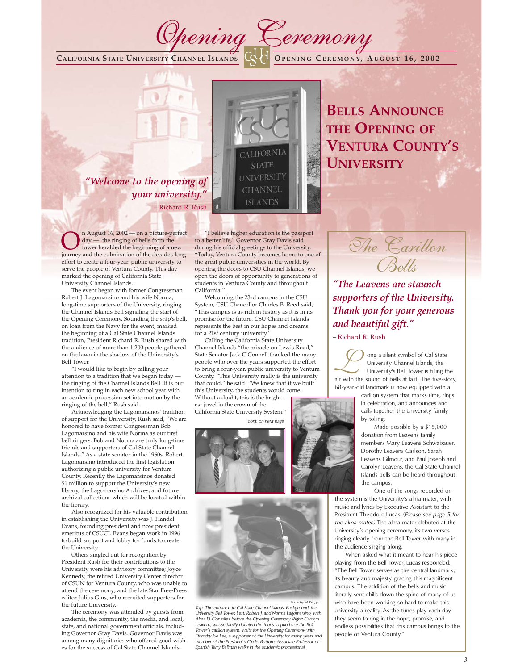**CALIFORNIA STATE UNIVERSITY CHANNEL ISLANDS O PENING C EREMONY, AUGUST 16, 2002**

# *"Welcome to the opening of your university."*



Opening Ceremony

– Richard R. Rush

 $\sum_{\text{day}}$  n August 16, 2002 — on a picture-perfect<br>day — the ringing of bells from the<br>iourney and the culmination of the decades-long day — the ringing of bells from the journey and the culmination of the decades-long effort to create a four-year, public university to serve the people of Ventura County. This day marked the opening of California State University Channel Islands.

The event began with former Congressman Robert J. Lagomarsino and his wife Norma, long-time supporters of the University, ringing the Channel Islands Bell signaling the start of the Opening Ceremony. Sounding the ship's bell, on loan from the Navy for the event, marked the beginning of a Cal State Channel Islands tradition, President Richard R. Rush shared with the audience of more than 1,200 people gathered on the lawn in the shadow of the University's Bell Tower.

"I would like to begin by calling your attention to a tradition that we began today the ringing of the Channel Islands Bell. It is our intention to ring in each new school year with an academic procession set into motion by the ringing of the bell," Rush said.

Acknowledging the Lagomarsinos' tradition of support for the University, Rush said, "We are honored to have former Congressman Bob Lagomarsino and his wife Norma as our first bell ringers. Bob and Norma are truly long-time friends and supporters of Cal State Channel Islands." As a state senator in the 1960s, Robert Lagomarsino introduced the first legislation authorizing a public university for Ventura County. Recently the Lagomarsinos donated \$1 million to support the University's new library, the Lagomarsino Archives, and future archival collections which will be located within the library.

Also recognized for his valuable contribution in establishing the University was J. Handel Evans, founding president and now president emeritus of CSUCI. Evans began work in 1996 to build support and lobby for funds to create the University.

Others singled out for recognition by President Rush for their contributions to the University were his advisory committee; Joyce Kennedy, the retired University Center director of CSUN for Ventura County, who was unable to attend the ceremony; and the late Star Free-Press editor Julius Gius, who recruited supporters for the future University.

The ceremony was attended by guests from academia, the community, the media, and local, state, and national government officials, including Governor Gray Davis. Governor Davis was among many dignitaries who offered good wishes for the success of Cal State Channel Islands.

"I believe higher education is the passport to a better life," Governor Gray Davis said during his official greetings to the University. Today, Ventura County becomes home to one of the great public universities in the world. By opening the doors to CSU Channel Islands, we open the doors of opportunity to generations of students in Ventura County and throughout California."

Welcoming the 23rd campus in the CSU System, CSU Chancellor Charles B. Reed said, "This campus is as rich in history as it is in its promise for the future. CSU Channel Islands represents the best in our hopes and dreams for a 21st century university.

Calling the California State University Channel Islands "the miracle on Lewis Road," State Senator Jack O'Connell thanked the many people who over the years supported the effort to bring a four-year, public university to Ventura County. "This University really is the university that could," he said. "We knew that if we built this University, the students would come.

Without a doubt, this is the brightest jewel in the crown of the California State University System."

*cont. on next page*





*Top: The entrance to Cal State Channel Islands. Background: the Photo by Bill KnappUniversity Bell Tower. Left: Robert J. and Norma Lagomarsino, with Alma D. González before the Opening Ceremony. Right: Carolyn Leavens, whose family donated the funds to purchase the Bell Tower's carillon system, waits for the Opening Ceremony with Dorothy Jue Lee, a supporter of the University for many years and member of the President's Circle. Bottom: Associate Professor of Spanish Terry Ballman walks in the academic processional.* 

**BELLS ANNOUNCE THE OPENING OF VENTURA COUNTY'S UNIVERSITY**



*"The Leavens are staunch supporters of the University. Thank you for your generous and beautiful gift."* 

– Richard R. Rush

O ong a silent symbol of Cal State<br>University's Bell Tower is filling t University Channel Islands, the University's Bell Tower is filling the air with the sound of bells at last. The five-story, 68-year-old landmark is now equipped with a

> carillon system that marks time, rings in celebration, and announces and calls together the University family by tolling.

Made possible by a \$15,000 donation from Leavens family members Mary Leavens Schwabauer, Dorothy Leavens Carlson, Sarah Leavens Gilmour, and Paul Joseph and Carolyn Leavens, the Cal State Channel Islands bells can be heard throughout the campus.

One of the songs recorded on the system is the University's alma mater, with

music and lyrics by Executive Assistant to the President Theodore Lucas. (*Please see page 5 for the alma mater.)* The alma mater debuted at the University's opening ceremony, its two verses ringing clearly from the Bell Tower with many in the audience singing along.

When asked what it meant to hear his piece playing from the Bell Tower, Lucas responded, "The Bell Tower serves as the central landmark, its beauty and majesty gracing this magnificent campus. The addition of the bells and music literally sent chills down the spine of many of us who have been working so hard to make this university a reality. As the tunes play each day, they seem to ring in the hope, promise, and endless possibilities that this campus brings to the people of Ventura County."



*3*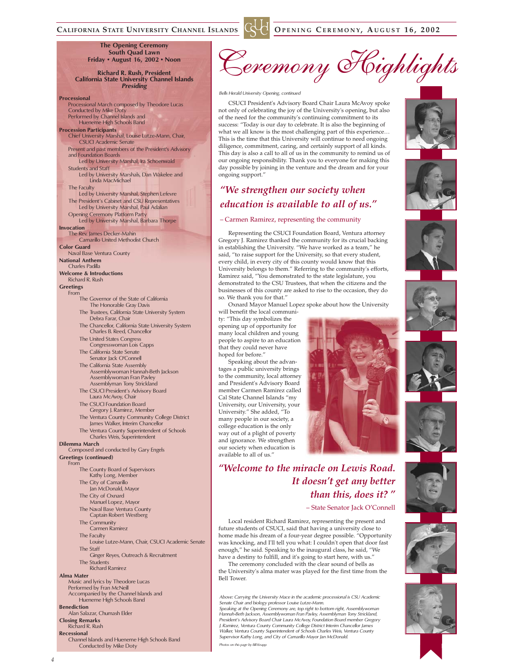## **CALIFORNIA STATE UNIVERSITY CHANNEL ISLANDS O PENING C EREMONY, AUGUST 16, 2002**

**The Opening Ceremony South Quad Lawn Friday • August 16, 2002 • Noon**

**Richard R. Rush, President California State University Channel Islands** *Presiding*

#### **Processional**

Processional March composed by Theodore Lucas Conducted by Mike Doty Performed by Channel Islands and Hueneme High Schools Band

**Procession Participants** Chief University Marshal, Louise Lutze-Mann, Chair, CSUCI Academic Senate Present and past members of the President's Advisory

and Foundation Boards Led by University Marshal, Ira Schoenwald

Students and Staff

Led by University Marshals, Dan Wakelee and Linda MacMichael

The Faculty Led by University Marshal, Stephen Lefevre

The President's Cabinet and CSU Representatives Led by University Marshal, Paul Adalian Opening Ceremony Platform Party Led by University Marshal, Barbara Thorpe

**Invocation**

The Rev. James Decker-Mahin Camarillo United Methodist Church

**Color Guard**

Naval Base Ventura County **National Anthem**

Charles Padilla

**Welcome & Introductions**

Richard R. Rush

#### **Greetings** From

- The Governor of the State of California The Honorable Gray Davis
- The Trustees, California State University System Debra Farar, Chair
- The Chancellor, California State University System Charles B. Reed, Chancellor
- The United States Congress Congresswoman Lois Capps
- The California State Senate
- Senator Jack O'Connell The California State Assembly
- Assemblywoman Hannah-Beth Jackson Assemblywoman Fran Pavley Assemblyman Tony Strickland The CSUCI President's Advisory Board
- Laura McAvoy, Chair The CSUCI Foundation Board
- Gregory J. Ramirez, Member
- The Ventura County Community College District James Walker, Interim Chancellor
- The Ventura County Superintendent of Schools Charles Weis, Superintendent

#### **Dilemma March**

Composed and conducted by Gary Engels

#### **Greetings (continued)**

- From
	- The County Board of Supervisors Kathy Long, Member
	- The City of Camarillo
	- Jan McDonald, Mayor The City of Oxnard
	- Manuel Lopez, Mayor
	- The Naval Base Ventura County Captain Robert Westberg
	- The Community
	- Carmen Ramirez
	- The Faculty
	- Louise Lutze-Mann, Chair, CSUCI Academic Senate The Staff
	- Ginger Reyes, Outreach & Recruitment
	- The Students Richard Ramirez

### **Alma Mater**

Music and lyrics by Theodore Lucas Performed by Fran McNeill

- Accompanied by the Channel Islands and
- Hueneme High Schools Band **Benediction**
- Alan Salazar, Chumash Elder
- **Closing Remarks**
- Richard R. Rush
- **Recessional**
- Channel Islands and Hueneme High Schools Band Conducted by Mike Doty



*Bells Herald University Opening, continued*

CSUCI President's Advisory Board Chair Laura McAvoy spoke not only of celebrating the joy of the University's opening, but also of the need for the community's continuing commitment to its success: "Today is our day to celebrate. It is also the beginning of what we all know is the most challenging part of this experience… This is the time that this University will continue to need ongoing diligence, commitment, caring, and certainly support of all kinds. This day is also a call to all of us in the community to remind us of our ongoing responsibility. Thank you to everyone for making this day possible by joining in the venture and the dream and for your ongoing support."

## *"We strengthen our society when education is available to all of us."*

#### – Carmen Ramirez, representing the community

Representing the CSUCI Foundation Board, Ventura attorney Gregory J. Ramirez thanked the community for its crucial backing in establishing the University. "We have worked as a team," he said, "to raise support for the University, so that every student, every child, in every city of this county would know that this University belongs to them." Referring to the community's efforts, Ramirez said, "You demonstrated to the state legislature, you demonstrated to the CSU Trustees, that when the citizens and the businesses of this county are asked to rise to the occasion, they do so. We thank you for that."

Oxnard Mayor Manuel Lopez spoke about how the University will benefit the local communi-

ty: "This day symbolizes the opening up of opportunity for many local children and young people to aspire to an education that they could never have hoped for before."

Speaking about the advantages a public university brings to the community, local attorney and President's Advisory Board member Carmen Ramirez called Cal State Channel Islands "my University, our University, your University." She added, "To many people in our society, a college education is the only way out of a plight of poverty and ignorance. We strengthen our society when education is available to all of us."













*"Welcome to the miracle on Lewis Road. It doesn't get any better than this, does it? "*

– State Senator Jack O'Connell

Local resident Richard Ramirez, representing the present and future students of CSUCI, said that having a university close to home made his dream of a four-year degree possible. "Opportunity was knocking, and I'll tell you what: I couldn't open that door fast enough," he said. Speaking to the inaugural class, he said, "We have a destiny to fulfill, and it's going to start here, with us."

The ceremony concluded with the clear sound of bells as the University's alma mater was played for the first time from the Bell Tower.

*Above: Carrying the University Mace in the academic processional is CSU Academic Senate Chair and biology professor Louise Lutze-Mann.* 

*Speaking at the Opening Ceremony are, top right to bottom right, Assemblywoman Hannah-Beth Jackson, Assemblywoman Fran Pavley, Assemblyman Tony Strickland, President's Advisory Board Chair Laura McAvoy, Foundation Board member Gregory J. Ramirez, Ventura County Community College District Interim Chancellor James Walker, Ventura County Superintendent of Schools Charles Weis, Ventura County Supervisor Kathy Long, and City of Camarillo Mayor Jan McDonald.* 

*Photos on this page by Bill Knapp*



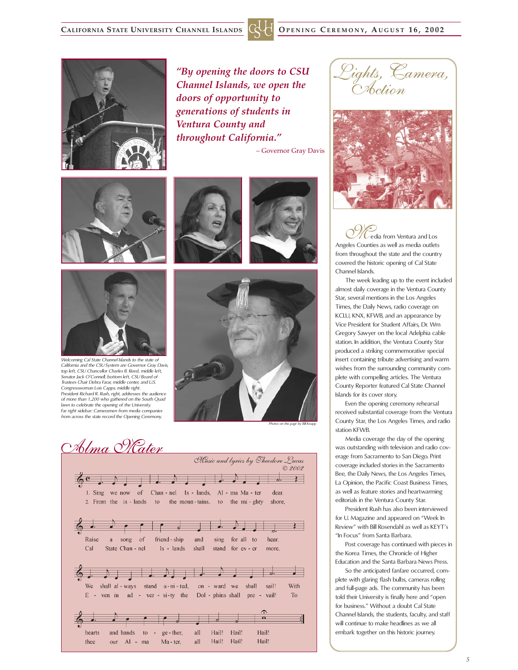

*"By opening the doors to CSU Channel Islands, we open the doors of opportunity to generations of students in Ventura County and throughout California."*

– Governor Gray Davis





*Welcoming Cal State Channel Islands to the state of California and the CSU System are Governor Gray Davis, top left, CSU Chancellor Charles B. Reed, middle left, Senator Jack O'Connell, bottom left, CSU Board of Trustees Chair Debra Farar, middle center, and U.S. Congresswoman Lois Capps, middle right. President Richard R. Rush, right, addresses the audience of more than 1,200 who gathered on the South Quad lawn to celebrate the opening of the University. Far right sidebar: Cameramen from media companies from across the state record the Opening Ceremony.* 







*Photos on this page by Bill Knapp*

Alma Materi Music and lyrics by Theodore Lucas © 2002  $\rightarrow$  $\sigma$ . 1. Sing we now of Chan - nel Is - lands, Al - ma Ma - ter dear. 2. From the is - lands to the moun-tains, to the mi-ghty shore,  $\sqrt{2}$ Raise a song of friend - ship and sing for all to hear.  $Ca1$ State Chan - nel  $Is - lands$ shall stand for ev - er more. T.  $\overline{a}$ . shall al - ways stand u-ni-ted, With We on - ward we shall sail!  $E - \text{ven}$  in ad - ver - si-ty the Dol - phins shall pre - vail!  $To$  $\overline{\mathbf{a}}$ and hands all Hail! Hail! Hail! hearts  $\mathfrak{g}$  to  $\mathfrak{g}$  $\alpha$  - then. thee our Al - ma all Hail! Hail! Hail! Ma - ter.





edia from Ventura and Los Angeles Counties as well as media outlets from throughout the state and the country covered the historic opening of Cal State Channel Islands.

The week leading up to the event included almost daily coverage in the Ventura County Star, several mentions in the Los Angeles Times, the Daily News, radio coverage on KCLU, KNX, KFWB, and an appearance by Vice President for Student Affairs, Dr. Wm Gregory Sawyer on the local Adelphia cable station. In addition, the Ventura County Star produced a striking commemorative special insert containing tribute advertising and warm wishes from the surrounding community complete with compelling articles. The Ventura County Reporter featured Cal State Channel Islands for its cover story.

Even the opening ceremony rehearsal received substantial coverage from the Ventura County Star, the Los Angeles Times, and radio station KFWB.

Media coverage the day of the opening was outstanding with television and radio coverage from Sacramento to San Diego. Print coverage included stories in the Sacramento Bee, the Daily News, the Los Angeles Times, La Opinion, the Pacific Coast Business Times, as well as feature stories and heartwarming editorials in the Ventura County Star.

President Rush has also been interviewed for U. Magazine and appeared on "Week In Review" with Bill Rosendahl as well as KEYT's "In Focus" from Santa Barbara.

Post coverage has continued with pieces in the Korea Times, the Chronicle of Higher Education and the Santa Barbara News Press.

So the anticipated fanfare occurred, complete with glaring flash bulbs, cameras rolling and full-page ads. The community has been told their University is finally here and "open for business." Without a doubt Cal State Channel Islands, the students, faculty, and staff will continue to make headlines as we all embark together on this historic journey.

*5*